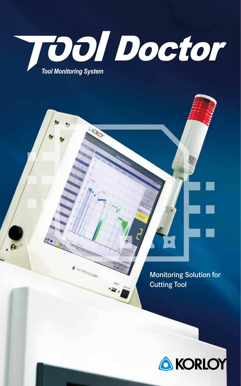

*Tool Monitoring System*

- KORIOT

e. To longing Sales

Monitoring Solution for **Cutting Tool** 

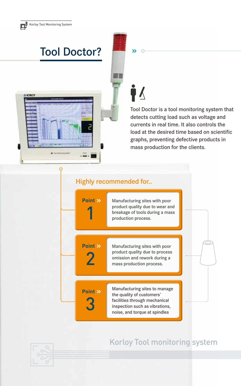**A KORIOT** 

## Tool Doctor?

#### $\lambda$

Ť∆

≣≣

Tool Doctor is a tool monitoring system that detects cutting load such as voltage and currents in real time. It also controls the load at the desired time based on scientific graphs, preventing defective products in mass production for the clients.

#### Highly recommended for..

Manufacturing sites with poor product quality due to wear and breakage of tools during a mass<br>production process. **Point** » Manufacturing sites with poor product quality due to process **2** mission and rework during a mass production process. Point >> Manufacturing sites to manage the quality of customers' **3**<br>
facilities through mechanical<br>
inspection such as vibrations,<br>
noise, and torque at spindles **Point** »

### Korloy Tool monitoring system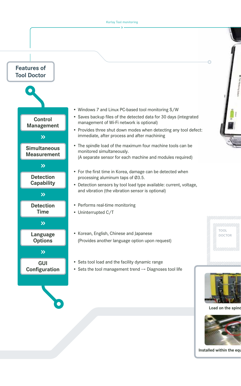

**Installed within the equ**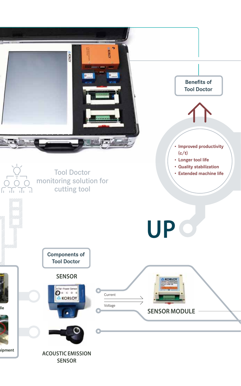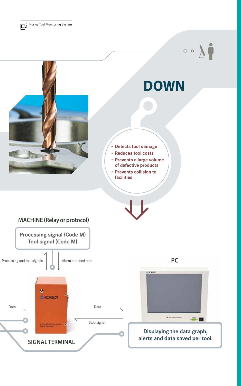Korloy Tool Monitoring System

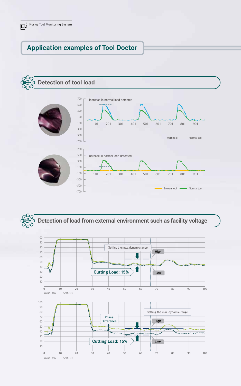#### **Application examples of Tool Doctor**





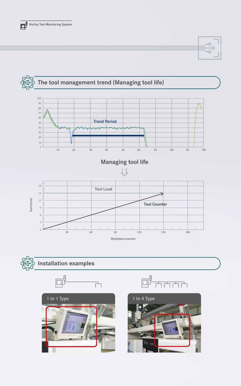